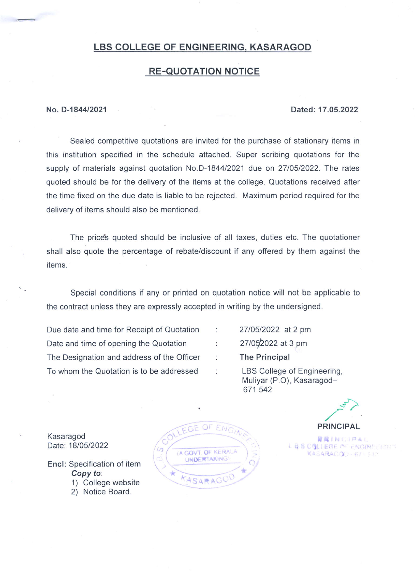# LBS COLLEGE OF ENGINEERING, KASARAGOD

# RE.QUOTATION NOTICE

### No. D-184412021 Dated: 17.05.2022

Sealed competitive quotations are invited for the purchase of stationary items in this institution specified in the schedule attached. Super scribing quotations for the supply of materials against quotation No.D-1844/2021 due on 27/05/2022. The rates quoted should be for the delivery of the items at the college. Quotations received after the time fixed on the due date is liable to be rejected. Maximum period required for the delivery of items should also be mentioned.

The price's quoted should be inclusive of all taxes, duties etc. The quotationer shall also quote the percentage of rebate/discount if any offered by them against the items.

Special conditions if any or printed on quotation notice will not be applicable to the contract unless they are expressly accepted in writing by the undersigned.

÷

 $\ddot{\phantom{a}}$ 

÷

Due date and time for Receipt of Quotation Date and time of opening the Quotation The Designation and address of the Officer To whom the Quotation is to be addressed

2710512022 at 2 pm 27/05/2022 at 3 pm The Principal LBS College of Engineering,

Muliyar (P.O), Kasaragod-671 542

Kasaragod Date: 18/05/2022

- Encl: Specification of item Copy to. 1) College website
	- 2) Notice Board.
	-



 $\frac{1}{2}$ PRINCIPAL

**RRINGIPAL** L B S COLLEGE OF ENGINEERING KASARACQU-671510